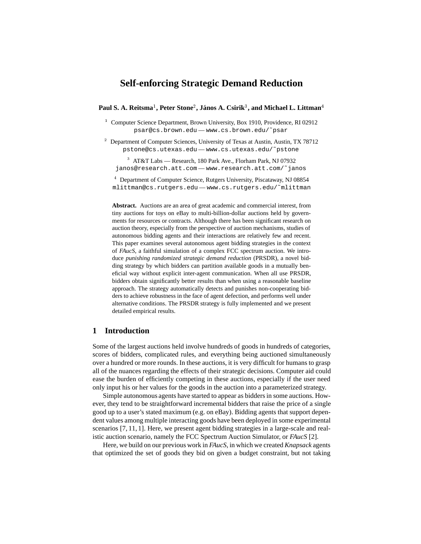# **Self-enforcing Strategic Demand Reduction**

**Paul S. A. Reitsma**<sup>1</sup> **, Peter Stone**<sup>2</sup> **, Janos A. Csirik ´** <sup>3</sup> **, and Michael L. Littman**<sup>4</sup>

<sup>1</sup> Computer Science Department, Brown University, Box 1910, Providence, RI 02912 psar@cs.brown.edu — www.cs.brown.edu/˜psar

<sup>2</sup> Department of Computer Sciences, University of Texas at Austin, Austin, TX 78712 pstone@cs.utexas.edu — www.cs.utexas.edu/˜pstone

<sup>3</sup> AT&T Labs — Research, 180 Park Ave., Florham Park, NJ 07932 janos@research.att.com — www.research.att.com/˜janos

<sup>4</sup> Department of Computer Science, Rutgers University, Piscataway, NJ 08854 mlittman@cs.rutgers.edu — www.cs.rutgers.edu/˜mlittman

**Abstract.** Auctions are an area of great academic and commercial interest, from tiny auctions for toys on eBay to multi-billion-dollar auctions held by governments for resources or contracts. Although there has been significant research on auction theory, especially from the perspective of auction mechanisms, studies of autonomous bidding agents and their interactions are relatively few and recent. This paper examines several autonomous agent bidding strategies in the context of *FAucS*, a faithful simulation of a complex FCC spectrum auction. We introduce *punishing randomized strategic demand reduction* (PRSDR), a novel bidding strategy by which bidders can partition available goods in a mutually beneficial way without explicit inter-agent communication. When all use PRSDR, bidders obtain significantly better results than when using a reasonable baseline approach. The strategy automatically detects and punishes non-cooperating bidders to achieve robustness in the face of agent defection, and performs well under alternative conditions. The PRSDR strategy is fully implemented and we present detailed empirical results.

### **1 Introduction**

Some of the largest auctions held involve hundreds of goods in hundreds of categories, scores of bidders, complicated rules, and everything being auctioned simultaneously over a hundred or more rounds. In these auctions, it is very difficult for humans to grasp all of the nuances regarding the effects of their strategic decisions. Computer aid could ease the burden of efficiently competing in these auctions, especially if the user need only input his or her values for the goods in the auction into a parameterized strategy.

Simple autonomous agents have started to appear as bidders in some auctions. However, they tend to be straightforward incremental bidders that raise the price of a single good up to a user's stated maximum (e.g. on eBay). Bidding agents that support dependent values among multiple interacting goods have been deployed in some experimental scenarios [7, 11, 1]. Here, we present agent bidding strategies in a large-scale and realistic auction scenario, namely the FCC Spectrum Auction Simulator, or *FAucS* [2].

Here, we build on our previous work in *FAucS*, in which we created *Knapsack* agents that optimized the set of goods they bid on given a budget constraint, but not taking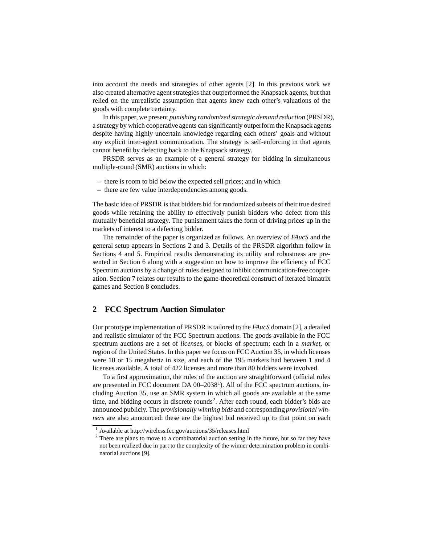into account the needs and strategies of other agents [2]. In this previous work we also created alternative agent strategies that outperformed the Knapsack agents, but that relied on the unrealistic assumption that agents knew each other's valuations of the goods with complete certainty.

In this paper, we present *punishing randomized strategic demand reduction* (PRSDR), a strategy by which cooperative agents can significantly outperform the Knapsack agents despite having highly uncertain knowledge regarding each others' goals and without any explicit inter-agent communication. The strategy is self-enforcing in that agents cannot benefit by defecting back to the Knapsack strategy.

PRSDR serves as an example of a general strategy for bidding in simultaneous multiple-round (SMR) auctions in which:

- **–** there is room to bid below the expected sell prices; and in which
- **–** there are few value interdependencies among goods.

The basic idea of PRSDR is that bidders bid for randomized subsets of their true desired goods while retaining the ability to effectively punish bidders who defect from this mutually beneficial strategy. The punishment takes the form of driving prices up in the markets of interest to a defecting bidder.

The remainder of the paper is organized as follows. An overview of *FAucS* and the general setup appears in Sections 2 and 3. Details of the PRSDR algorithm follow in Sections 4 and 5. Empirical results demonstrating its utility and robustness are presented in Section 6 along with a suggestion on how to improve the efficiency of FCC Spectrum auctions by a change of rules designed to inhibit communication-free cooperation. Section 7 relates our results to the game-theoretical construct of iterated bimatrix games and Section 8 concludes.

# **2 FCC Spectrum Auction Simulator**

Our prototype implementation of PRSDR is tailored to the *FAucS* domain [2], a detailed and realistic simulator of the FCC Spectrum auctions. The goods available in the FCC spectrum auctions are a set of *licenses*, or blocks of spectrum; each in a *market*, or region of the United States. In this paper we focus on FCC Auction 35, in which licenses were 10 or 15 megahertz in size, and each of the 195 markets had between 1 and 4 licenses available. A total of 422 licenses and more than 80 bidders were involved.

To a first approximation, the rules of the auction are straightforward (official rules are presented in FCC document DA  $00-2038<sup>1</sup>$ ). All of the FCC spectrum auctions, including Auction 35, use an SMR system in which all goods are available at the same time, and bidding occurs in discrete rounds<sup>2</sup>. After each round, each bidder's bids are announced publicly. The *provisionally winning bids* and corresponding *provisional winners* are also announced: these are the highest bid received up to that point on each

<sup>1</sup> Available at http://wireless.fcc.gov/auctions/35/releases.html

 $2$  There are plans to move to a combinatorial auction setting in the future, but so far they have not been realized due in part to the complexity of the winner determination problem in combinatorial auctions [9].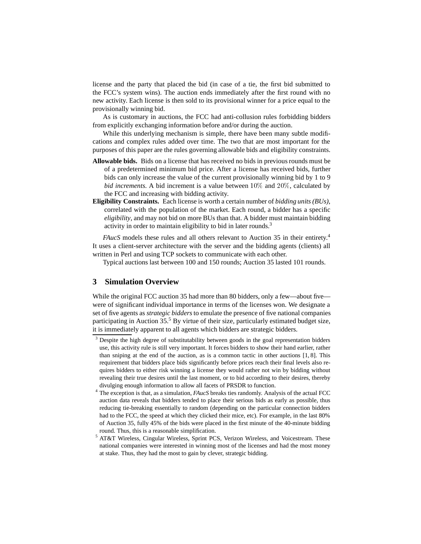license and the party that placed the bid (in case of a tie, the first bid submitted to the FCC's system wins). The auction ends immediately after the first round with no new activity. Each license is then sold to its provisional winner for a price equal to the provisionally winning bid.

As is customary in auctions, the FCC had anti-collusion rules forbidding bidders from explicitly exchanging information before and/or during the auction.

While this underlying mechanism is simple, there have been many subtle modifications and complex rules added over time. The two that are most important for the purposes of this paper are the rules governing allowable bids and eligibility constraints.

- **Allowable bids.** Bids on a license that has received no bids in previous rounds must be of a predetermined minimum bid price. After a license has received bids, further bids can only increase the value of the current provisionally winning bid by 1 to 9 *bid increments*. A bid increment is a value between 10% and 20%, calculated by the FCC and increasing with bidding activity.
- **Eligibility Constraints.** Each license is worth a certain number of *bidding units (BUs)*, correlated with the population of the market. Each round, a bidder has a specific *eligibility*, and may not bid on more BUs than that. A bidder must maintain bidding activity in order to maintain eligibility to bid in later rounds.<sup>3</sup>

*FAucS* models these rules and all others relevant to Auction 35 in their entirety.<sup>4</sup> It uses a client-server architecture with the server and the bidding agents (clients) all written in Perl and using TCP sockets to communicate with each other.

Typical auctions last between 100 and 150 rounds; Auction 35 lasted 101 rounds.

# **3 Simulation Overview**

While the original FCC auction 35 had more than 80 bidders, only a few—about five were of significant individual importance in terms of the licenses won. We designate a set of five agents as *strategic bidders* to emulate the presence of five national companies participating in Auction  $35<sup>5</sup>$  By virtue of their size, particularly estimated budget size, it is immediately apparent to all agents which bidders are strategic bidders.

<sup>5</sup> AT&T Wireless, Cingular Wireless, Sprint PCS, Verizon Wireless, and Voicestream. These national companies were interested in winning most of the licenses and had the most money at stake. Thus, they had the most to gain by clever, strategic bidding.

<sup>&</sup>lt;sup>3</sup> Despite the high degree of substitutability between goods in the goal representation bidders use, this activity rule is still very important. It forces bidders to show their hand earlier, rather than sniping at the end of the auction, as is a common tactic in other auctions  $[1, 8]$ . This requirement that bidders place bids significantly before prices reach their final levels also requires bidders to either risk winning a license they would rather not win by bidding without revealing their true desires until the last moment, or to bid according to their desires, thereby divulging enough information to allow all facets of PRSDR to function.

<sup>&</sup>lt;sup>4</sup> The exception is that, as a simulation, *FAucS* breaks ties randomly. Analysis of the actual FCC auction data reveals that bidders tended to place their serious bids as early as possible, thus reducing tie-breaking essentially to random (depending on the particular connection bidders had to the FCC, the speed at which they clicked their mice, etc). For example, in the last 80% of Auction 35, fully 45% of the bids were placed in the first minute of the 40-minute bidding round. Thus, this is a reasonable simplification.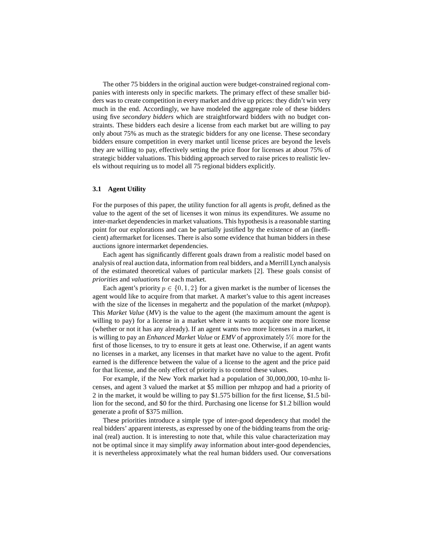The other 75 bidders in the original auction were budget-constrained regional companies with interests only in specific markets. The primary effect of these smaller bidders was to create competition in every market and drive up prices: they didn't win very much in the end. Accordingly, we have modeled the aggregate role of these bidders using five *secondary bidders* which are straightforward bidders with no budget constraints. These bidders each desire a license from each market but are willing to pay only about 75% as much as the strategic bidders for any one license. These secondary bidders ensure competition in every market until license prices are beyond the levels they are willing to pay, effectively setting the price floor for licenses at about 75% of strategic bidder valuations. This bidding approach served to raise prices to realistic levels without requiring us to model all 75 regional bidders explicitly.

### **3.1 Agent Utility**

For the purposes of this paper, the utility function for all agents is *profit*, defined as the value to the agent of the set of licenses it won minus its expenditures. We assume no inter-market dependencies in market valuations. This hypothesis is a reasonable starting point for our explorations and can be partially justified by the existence of an (inefficient) aftermarket for licenses. There is also some evidence that human bidders in these auctions ignore intermarket dependencies.

Each agent has significantly different goals drawn from a realistic model based on analysis of real auction data, information from real bidders, and a Merrill Lynch analysis of the estimated theoretical values of particular markets [2]. These goals consist of *priorities* and *valuations* for each market.

Each agent's priority  $p \in \{0, 1, 2\}$  for a given market is the number of licenses the agent would like to acquire from that market. A market's value to this agent increases with the size of the licenses in megahertz and the population of the market (*mhzpop*). This *Market Value* (*MV*) is the value to the agent (the maximum amount the agent is willing to pay) for a license in a market where it wants to acquire one more license (whether or not it has any already). If an agent wants two more licenses in a market, it is willing to pay an *Enhanced Market Value* or *EMV* of approximately 5% more for the first of those licenses, to try to ensure it gets at least one. Otherwise, if an agent wants no licenses in a market, any licenses in that market have no value to the agent. Profit earned is the difference between the value of a license to the agent and the price paid for that license, and the only effect of priority is to control these values.

For example, if the New York market had a population of 30,000,000, 10-mhz licenses, and agent 3 valued the market at \$5 million per mhzpop and had a priority of 2 in the market, it would be willing to pay \$1.575 billion for the first license, \$1.5 billion for the second, and \$0 for the third. Purchasing one license for \$1.2 billion would generate a profit of \$375 million.

These priorities introduce a simple type of inter-good dependency that model the real bidders' apparent interests, as expressed by one of the bidding teams from the original (real) auction. It is interesting to note that, while this value characterization may not be optimal since it may simplify away information about inter-good dependencies, it is nevertheless approximately what the real human bidders used. Our conversations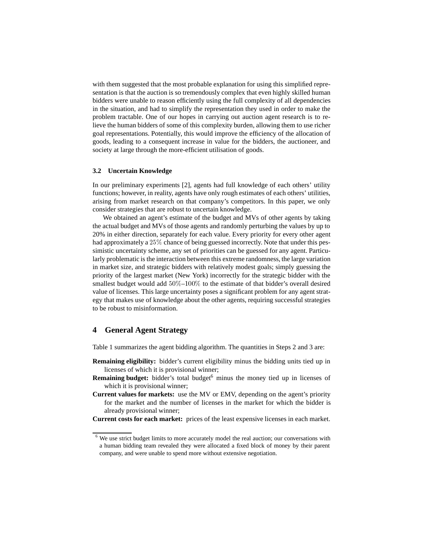with them suggested that the most probable explanation for using this simplified representation is that the auction is so tremendously complex that even highly skilled human bidders were unable to reason efficiently using the full complexity of all dependencies in the situation, and had to simplify the representation they used in order to make the problem tractable. One of our hopes in carrying out auction agent research is to relieve the human bidders of some of this complexity burden, allowing them to use richer goal representations. Potentially, this would improve the efficiency of the allocation of goods, leading to a consequent increase in value for the bidders, the auctioneer, and society at large through the more-efficient utilisation of goods.

### **3.2 Uncertain Knowledge**

In our preliminary experiments [2], agents had full knowledge of each others' utility functions; however, in reality, agents have only rough estimates of each others' utilities, arising from market research on that company's competitors. In this paper, we only consider strategies that are robust to uncertain knowledge.

We obtained an agent's estimate of the budget and MVs of other agents by taking the actual budget and MVs of those agents and randomly perturbing the values by up to 20% in either direction, separately for each value. Every priority for every other agent had approximately a 25% chance of being guessed incorrectly. Note that under this pessimistic uncertainty scheme, any set of priorities can be guessed for any agent. Particularly problematic is the interaction between this extreme randomness, the large variation in market size, and strategic bidders with relatively modest goals; simply guessing the priority of the largest market (New York) incorrectly for the strategic bidder with the smallest budget would add 50%–100% to the estimate of that bidder's overall desired value of licenses. This large uncertainty poses a significant problem for any agent strategy that makes use of knowledge about the other agents, requiring successful strategies to be robust to misinformation.

# **4 General Agent Strategy**

Table 1 summarizes the agent bidding algorithm. The quantities in Steps 2 and 3 are:

- **Remaining eligibility:** bidder's current eligibility minus the bidding units tied up in licenses of which it is provisional winner;
- **Remaining budget:** bidder's total budget<sup>6</sup> minus the money tied up in licenses of which it is provisional winner;
- **Current values for markets:** use the MV or EMV, depending on the agent's priority for the market and the number of licenses in the market for which the bidder is already provisional winner;
- **Current costs for each market:** prices of the least expensive licenses in each market.

<sup>&</sup>lt;sup>6</sup> We use strict budget limits to more accurately model the real auction; our conversations with a human bidding team revealed they were allocated a fixed block of money by their parent company, and were unable to spend more without extensive negotiation.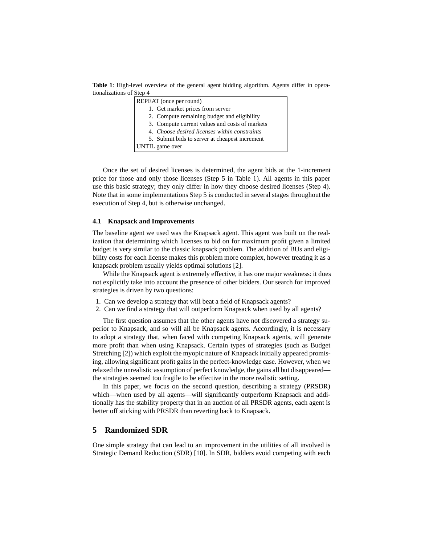**Table 1**: High-level overview of the general agent bidding algorithm. Agents differ in operationalizations of Step 4

| REPEAT (once per round)                        |  |
|------------------------------------------------|--|
| 1. Get market prices from server               |  |
| 2. Compute remaining budget and eligibility    |  |
| 3. Compute current values and costs of markets |  |
| 4. Choose desired licenses within constraints  |  |
| 5. Submit bids to server at cheapest increment |  |
| UNTIL game over                                |  |

Once the set of desired licenses is determined, the agent bids at the 1-increment price for those and only those licenses (Step 5 in Table 1). All agents in this paper use this basic strategy; they only differ in how they choose desired licenses (Step 4). Note that in some implementations Step 5 is conducted in several stages throughout the execution of Step 4, but is otherwise unchanged.

### **4.1 Knapsack and Improvements**

The baseline agent we used was the Knapsack agent. This agent was built on the realization that determining which licenses to bid on for maximum profit given a limited budget is very similar to the classic knapsack problem. The addition of BUs and eligibility costs for each license makes this problem more complex, however treating it as a knapsack problem usually yields optimal solutions [2].

While the Knapsack agent is extremely effective, it has one major weakness: it does not explicitly take into account the presence of other bidders. Our search for improved strategies is driven by two questions:

- 1. Can we develop a strategy that will beat a field of Knapsack agents?
- 2. Can we find a strategy that will outperform Knapsack when used by all agents?

The first question assumes that the other agents have not discovered a strategy superior to Knapsack, and so will all be Knapsack agents. Accordingly, it is necessary to adopt a strategy that, when faced with competing Knapsack agents, will generate more profit than when using Knapsack. Certain types of strategies (such as Budget Stretching [2]) which exploit the myopic nature of Knapsack initially appeared promising, allowing significant profit gains in the perfect-knowledge case. However, when we relaxed the unrealistic assumption of perfect knowledge, the gains all but disappeared the strategies seemed too fragile to be effective in the more realistic setting.

In this paper, we focus on the second question, describing a strategy (PRSDR) which—when used by all agents—will significantly outperform Knapsack and additionally has the stability property that in an auction of all PRSDR agents, each agent is better off sticking with PRSDR than reverting back to Knapsack.

# **5 Randomized SDR**

One simple strategy that can lead to an improvement in the utilities of all involved is Strategic Demand Reduction (SDR) [10]. In SDR, bidders avoid competing with each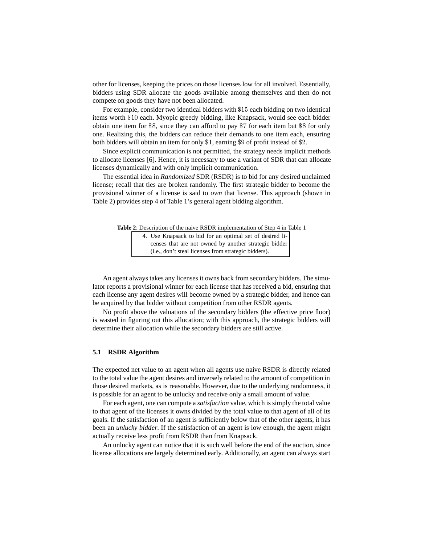other for licenses, keeping the prices on those licenses low for all involved. Essentially, bidders using SDR allocate the goods available among themselves and then do not compete on goods they have not been allocated.

For example, consider two identical bidders with \$15 each bidding on two identical items worth \$10 each. Myopic greedy bidding, like Knapsack, would see each bidder obtain one item for \$8, since they can afford to pay \$7 for each item but \$8 for only one. Realizing this, the bidders can reduce their demands to one item each, ensuring both bidders will obtain an item for only \$1, earning \$9 of profit instead of \$2.

Since explicit communication is not permitted, the strategy needs implicit methods to allocate licenses [6]. Hence, it is necessary to use a variant of SDR that can allocate licenses dynamically and with only implicit communication.

The essential idea in *Randomized* SDR (RSDR) is to bid for any desired unclaimed license; recall that ties are broken randomly. The first strategic bidder to become the provisional winner of a license is said to *own* that license. This approach (shown in Table 2) provides step 4 of Table 1's general agent bidding algorithm.

**Table 2**: Description of the naive RSDR implementation of Step 4 in Table 1

- 4. Use Knapsack to bid for an optimal set of desired li
	- censes that are not owned by another strategic bidder

(i.e., don't steal licenses from strategic bidders).

An agent always takes any licenses it owns back from secondary bidders. The simulator reports a provisional winner for each license that has received a bid, ensuring that each license any agent desires will become owned by a strategic bidder, and hence can be acquired by that bidder without competition from other RSDR agents.

No profit above the valuations of the secondary bidders (the effective price floor) is wasted in figuring out this allocation; with this approach, the strategic bidders will determine their allocation while the secondary bidders are still active.

### **5.1 RSDR Algorithm**

The expected net value to an agent when all agents use naive RSDR is directly related to the total value the agent desires and inversely related to the amount of competition in those desired markets, as is reasonable. However, due to the underlying randomness, it is possible for an agent to be unlucky and receive only a small amount of value.

For each agent, one can compute a *satisfaction* value, which is simply the total value to that agent of the licenses it owns divided by the total value to that agent of all of its goals. If the satisfaction of an agent is sufficiently below that of the other agents, it has been an *unlucky bidder*. If the satisfaction of an agent is low enough, the agent might actually receive less profit from RSDR than from Knapsack.

An unlucky agent can notice that it is such well before the end of the auction, since license allocations are largely determined early. Additionally, an agent can always start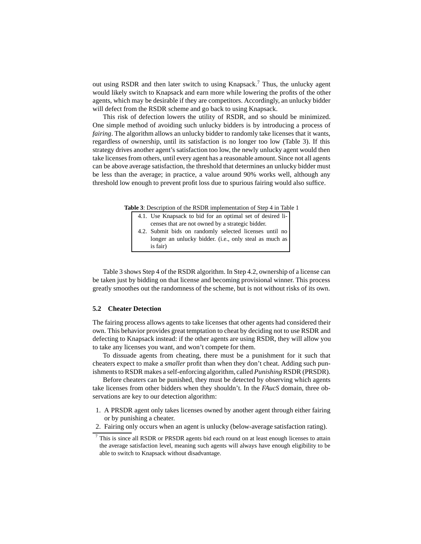out using RSDR and then later switch to using Knapsack.<sup>7</sup> Thus, the unlucky agent would likely switch to Knapsack and earn more while lowering the profits of the other agents, which may be desirable if they are competitors. Accordingly, an unlucky bidder will defect from the RSDR scheme and go back to using Knapsack.

This risk of defection lowers the utility of RSDR, and so should be minimized. One simple method of avoiding such unlucky bidders is by introducing a process of *fairing*. The algorithm allows an unlucky bidder to randomly take licenses that it wants, regardless of ownership, until its satisfaction is no longer too low (Table 3). If this strategy drives another agent's satisfaction too low, the newly unlucky agent would then take licenses from others, until every agent has a reasonable amount. Since not all agents can be above average satisfaction, the threshold that determines an unlucky bidder must be less than the average; in practice, a value around 90% works well, although any threshold low enough to prevent profit loss due to spurious fairing would also suffice.

**Table 3**: Description of the RSDR implementation of Step 4 in Table 1

- 4.1. Use Knapsack to bid for an optimal set of desired licenses that are not owned by a strategic bidder.
- 4.2. Submit bids on randomly selected licenses until no longer an unlucky bidder. (i.e., only steal as much as is fair)

Table 3 shows Step 4 of the RSDR algorithm. In Step 4.2, ownership of a license can be taken just by bidding on that license and becoming provisional winner. This process greatly smoothes out the randomness of the scheme, but is not without risks of its own.

### **5.2 Cheater Detection**

The fairing process allows agents to take licenses that other agents had considered their own. This behavior provides great temptation to cheat by deciding not to use RSDR and defecting to Knapsack instead: if the other agents are using RSDR, they will allow you to take any licenses you want, and won't compete for them.

To dissuade agents from cheating, there must be a punishment for it such that cheaters expect to make a *smaller* profit than when they don't cheat. Adding such punishments to RSDR makes a self-enforcing algorithm, called *Punishing*RSDR (PRSDR).

Before cheaters can be punished, they must be detected by observing which agents take licenses from other bidders when they shouldn't. In the *FAucS* domain, three observations are key to our detection algorithm:

- 1. A PRSDR agent only takes licenses owned by another agent through either fairing or by punishing a cheater.
- 2. Fairing only occurs when an agent is unlucky (below-average satisfaction rating).

 $7$  This is since all RSDR or PRSDR agents bid each round on at least enough licenses to attain the average satisfaction level, meaning such agents will always have enough eligibility to be able to switch to Knapsack without disadvantage.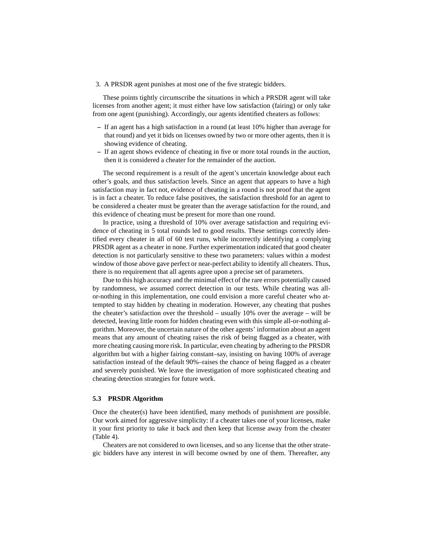#### 3. A PRSDR agent punishes at most one of the five strategic bidders.

These points tightly circumscribe the situations in which a PRSDR agent will take licenses from another agent; it must either have low satisfaction (fairing) or only take from one agent (punishing). Accordingly, our agents identified cheaters as follows:

- **–** If an agent has a high satisfaction in a round (at least 10% higher than average for that round) and yet it bids on licenses owned by two or more other agents, then it is showing evidence of cheating.
- **–** If an agent shows evidence of cheating in five or more total rounds in the auction, then it is considered a cheater for the remainder of the auction.

The second requirement is a result of the agent's uncertain knowledge about each other's goals, and thus satisfaction levels. Since an agent that appears to have a high satisfaction may in fact not, evidence of cheating in a round is not proof that the agent is in fact a cheater. To reduce false positives, the satisfaction threshold for an agent to be considered a cheater must be greater than the average satisfaction for the round, and this evidence of cheating must be present for more than one round.

In practice, using a threshold of 10% over average satisfaction and requiring evidence of cheating in 5 total rounds led to good results. These settings correctly identified every cheater in all of 60 test runs, while incorrectly identifying a complying PRSDR agent as a cheater in none. Further experimentation indicated that good cheater detection is not particularly sensitive to these two parameters: values within a modest window of those above gave perfect or near-perfect ability to identify all cheaters. Thus, there is no requirement that all agents agree upon a precise set of parameters.

Due to this high accuracy and the minimal effect of the rare errors potentially caused by randomness, we assumed correct detection in our tests. While cheating was allor-nothing in this implementation, one could envision a more careful cheater who attempted to stay hidden by cheating in moderation. However, any cheating that pushes the cheater's satisfaction over the threshold – usually 10% over the average – will be detected, leaving little room for hidden cheating even with this simple all-or-nothing algorithm. Moreover, the uncertain nature of the other agents' information about an agent means that any amount of cheating raises the risk of being flagged as a cheater, with more cheating causing more risk. In particular, even cheating by adhering to the PRSDR algorithm but with a higher fairing constant–say, insisting on having 100% of average satisfaction instead of the default 90%–raises the chance of being flagged as a cheater and severely punished. We leave the investigation of more sophisticated cheating and cheating detection strategies for future work.

#### **5.3 PRSDR Algorithm**

Once the cheater(s) have been identified, many methods of punishment are possible. Our work aimed for aggressive simplicity: if a cheater takes one of your licenses, make it your first priority to take it back and then keep that license away from the cheater (Table 4).

Cheaters are not considered to own licenses, and so any license that the other strategic bidders have any interest in will become owned by one of them. Thereafter, any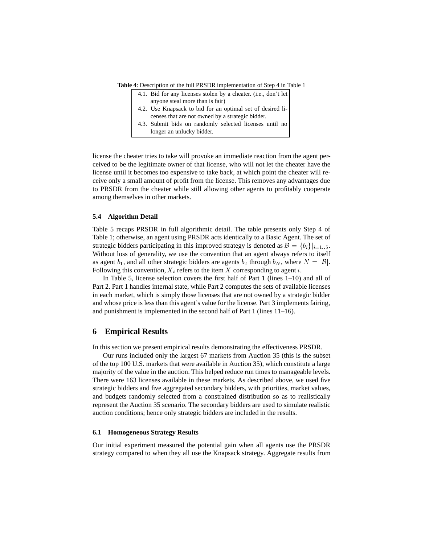**Table 4**: Description of the full PRSDR implementation of Step 4 in Table 1

| 4.1. Bid for any licenses stolen by a cheater. (i.e., don't let |
|-----------------------------------------------------------------|
| anyone steal more than is fair)                                 |

- 4.2. Use Knapsack to bid for an optimal set of desired licenses that are not owned by a strategic bidder.
- 4.3. Submit bids on randomly selected licenses until no longer an unlucky bidder.

license the cheater tries to take will provoke an immediate reaction from the agent perceived to be the legitimate owner of that license, who will not let the cheater have the license until it becomes too expensive to take back, at which point the cheater will receive only a small amount of profit from the license. This removes any advantages due to PRSDR from the cheater while still allowing other agents to profitably cooperate among themselves in other markets.

### **5.4 Algorithm Detail**

Table 5 recaps PRSDR in full algorithmic detail. The table presents only Step 4 of Table 1; otherwise, an agent using PRSDR acts identically to a Basic Agent. The set of strategic bidders participating in this improved strategy is denoted as  $\mathcal{B} = \{b_i\}|_{i=1..5}$ . Without loss of generality, we use the convention that an agent always refers to itself as agent  $b_1$ , and all other strategic bidders are agents  $b_2$  through  $b_N$ , where  $N = |\mathcal{B}|$ . Following this convention,  $X_i$  refers to the item X corresponding to agent i.

In Table 5, license selection covers the first half of Part 1 (lines 1–10) and all of Part 2. Part 1 handles internal state, while Part 2 computes the sets of available licenses in each market, which is simply those licenses that are not owned by a strategic bidder and whose price is less than this agent's value for the license. Part 3 implements fairing, and punishment is implemented in the second half of Part 1 (lines 11–16).

# **6 Empirical Results**

In this section we present empirical results demonstrating the effectiveness PRSDR.

Our runs included only the largest 67 markets from Auction 35 (this is the subset of the top 100 U.S. markets that were available in Auction 35), which constitute a large majority of the value in the auction. This helped reduce run times to manageable levels. There were 163 licenses available in these markets. As described above, we used five strategic bidders and five aggregated secondary bidders, with priorities, market values, and budgets randomly selected from a constrained distribution so as to realistically represent the Auction 35 scenario. The secondary bidders are used to simulate realistic auction conditions; hence only strategic bidders are included in the results.

#### **6.1 Homogeneous Strategy Results**

Our initial experiment measured the potential gain when all agents use the PRSDR strategy compared to when they all use the Knapsack strategy. Aggregate results from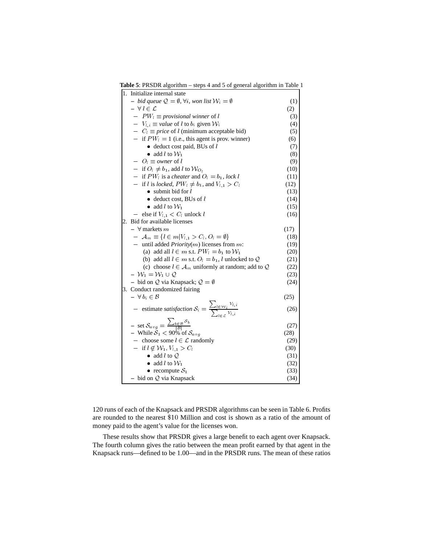**Table 5**: PRSDR algorithm – steps 4 and 5 of general algorithm in Table 1

| 1. Initialize internal state                                                                   |      |
|------------------------------------------------------------------------------------------------|------|
| $-$ bid queue $\mathcal{Q} = \emptyset$ , $\forall i$ , won list $\mathcal{W}_i = \emptyset$   | (1)  |
| $- \forall l \in \mathcal{L}$                                                                  | (2)  |
| $-PW_l \equiv$ provisional winner of l                                                         | (3)  |
| $- V_{l,i} \equiv$ value of l to $b_i$ given $W_i$                                             | (4)  |
| $-C_l \equiv price \text{ of } l \text{ (minimum acceptable bid)}$                             | (5)  |
| - if $PW_l = 1$ (i.e., this agent is prov. winner)                                             | (6)  |
| $\bullet$ deduct cost paid, BUs of l                                                           | (7)  |
| • add <i>l</i> to $\mathcal{W}_1$                                                              | (8)  |
| $ O_l \equiv$ owner of l                                                                       | (9)  |
| $-$ if $O_l \neq b_1$ , add l to $W_{O_l}$                                                     | (10) |
| - if $PW_l$ is a cheater and $O_l = b_1$ , lock l                                              | (11) |
| - if l is locked, $PW_l \neq b_1$ , and $V_{l,1} > C_l$                                        | (12) |
| $\bullet$ submit bid for l                                                                     | (13) |
| $\bullet$ deduct cost, BUs of l                                                                | (14) |
| • add l to $\mathcal{W}_1$                                                                     | (15) |
| - else if $V_{l,1} < C_l$ unlock l                                                             | (16) |
| 2. Bid for available licenses                                                                  |      |
| $ \forall$ markets m                                                                           | (17) |
| $- A_m \equiv \{l \in m   V_{l,1} > C_l, O_l = \emptyset\}$                                    | (18) |
| - until added $Priority(m)$ licenses from m:                                                   | (19) |
| (a) add all $l \in m$ s.t. $PW_l = b_1$ to $W_1$                                               | (20) |
| (b) add all $l \in m$ s.t. $O_l = b_1$ , l unlocked to Q                                       | (21) |
| (c) choose $l \in A_m$ uniformly at random; add to Q                                           | (22) |
| $- W_1 = W_1 \cup Q$                                                                           | (23) |
| - bid on Q via Knapsack; $Q = \emptyset$                                                       | (24) |
| 3. Conduct randomized fairing                                                                  |      |
| $- \forall b_i \in \mathcal{B}$                                                                | (25) |
|                                                                                                |      |
| - estimate <i>satisfaction</i> $S_i = \frac{\sum_{l \in W_i} V_{l,i}}{\sum_{l \in c} V_{l,i}}$ | (26) |
|                                                                                                |      |
| $-$ set $S_{avg} = \frac{\sum_{b \in \mathcal{B}} S_b}{ \mathcal{B} }$                         | (27) |
| - While $S_1$ < 90% of $S_{avg}$                                                               | (28) |
| - choose some $l \in \mathcal{L}$ randomly                                                     | (29) |
| $-$ if $l \notin \mathcal{W}_1, V_{i,1} > C_l$                                                 | (30) |
| • add l to $Q$                                                                                 | (31) |
| • add <i>l</i> to $\mathcal{W}_1$                                                              | (32) |
| • recompute $S_1$                                                                              | (33) |
| $-$ bid on $Q$ via Knapsack                                                                    | (34) |

120 runs of each of the Knapsack and PRSDR algorithms can be seen in Table 6. Profits are rounded to the nearest \$10 Million and cost is shown as a ratio of the amount of money paid to the agent's value for the licenses won.

These results show that PRSDR gives a large benefit to each agent over Knapsack. The fourth column gives the ratio between the mean profit earned by that agent in the Knapsack runs—defined to be 1.00—and in the PRSDR runs. The mean of these ratios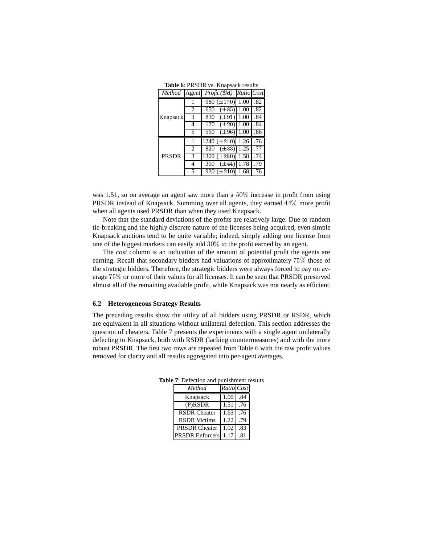| Method       | Agent          | Profit(SM)                   | Ratio Cost        |     |
|--------------|----------------|------------------------------|-------------------|-----|
|              |                | 980 $(\pm 170)$              | 1.00              | .82 |
|              | $\overline{c}$ | $(\pm 85)$<br>650            | 1.00              | .82 |
| Knapsack     | 3              | $(\pm 91)$<br>830            | 1.00              | .84 |
|              | $\overline{4}$ | $(\pm 20)$<br>170            | 1.00              | .84 |
|              | 5              | $(\pm 96)$<br>550            | 1.00              | .86 |
|              | 1              | $1240 (\pm 210)$ 1.26        |                   | .76 |
|              | $\overline{c}$ | $\overline{(\pm 83)}$<br>820 | $\overline{1.25}$ | .77 |
| <b>PRSDR</b> | 3              | 1300 $(\pm 290)$             | 1.58              | .74 |
|              | $\overline{4}$ | $(\pm 44)$<br>300            | 1.78              | .79 |
|              | 5              | 930 $(\pm 240)$              | 1.68              | .76 |

was 1.51, so on average an agent saw more than a 50% increase in profit from using PRSDR instead of Knapsack. Summing over all agents, they earned 44% more profit when all agents used PRSDR than when they used Knapsack.

Note that the standard deviations of the profits are relatively large. Due to random tie-breaking and the highly discrete nature of the licenses being acquired, even simple Knapsack auctions tend to be quite variable; indeed, simply adding one license from one of the biggest markets can easily add 30% to the profit earned by an agent.

The *cost* column is an indication of the amount of potential profit the agents are earning. Recall that secondary bidders had valuations of approximately 75% those of the strategic bidders. Therefore, the strategic bidders were always forced to pay on average 75% or more of their values for all licenses. It can be seen that PRSDR preserved almost all of the remaining available profit, while Knapsack was not nearly as efficient.

#### **6.2 Heterogeneous Strategy Results**

The preceding results show the utility of all bidders using PRSDR or RSDR, which are equivalent in all situations without unilateral defection. This section addresses the question of cheaters. Table 7 presents the experiments with a single agent unilaterally defecting to Knapsack, both with RSDR (lacking countermeasures) and with the more robust PRSDR. The first two rows are repeated from Table 6 with the raw profit values removed for clarity and all results aggregated into per-agent averages.

| Method                 | Ratio Cost |     |
|------------------------|------------|-----|
| Knapsack               | 1.00       | .84 |
| (P)RSDR                | 1.51       | .76 |
| <b>RSDR Cheater</b>    | 1.63       | .76 |
| <b>RSDR</b> Victims    | 1.22       | .79 |
| <b>PRSDR</b> Cheater   | 1.02       | .83 |
| <b>PRSDR Enforcers</b> |            | .81 |

**Table 7**: Defection and punishment results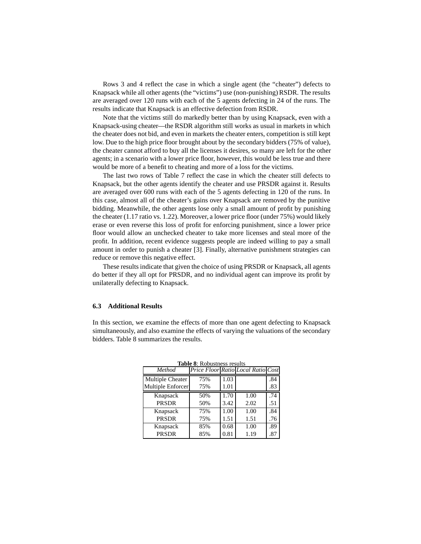Rows 3 and 4 reflect the case in which a single agent (the "cheater") defects to Knapsack while all other agents (the "victims") use (non-punishing) RSDR. The results are averaged over 120 runs with each of the 5 agents defecting in 24 of the runs. The results indicate that Knapsack is an effective defection from RSDR.

Note that the victims still do markedly better than by using Knapsack, even with a Knapsack-using cheater—the RSDR algorithm still works as usual in markets in which the cheater does not bid, and even in markets the cheater enters, competition is still kept low. Due to the high price floor brought about by the secondary bidders (75% of value), the cheater cannot afford to buy all the licenses it desires, so many are left for the other agents; in a scenario with a lower price floor, however, this would be less true and there would be more of a benefit to cheating and more of a loss for the victims.

The last two rows of Table 7 reflect the case in which the cheater still defects to Knapsack, but the other agents identify the cheater and use PRSDR against it. Results are averaged over 600 runs with each of the 5 agents defecting in 120 of the runs. In this case, almost all of the cheater's gains over Knapsack are removed by the punitive bidding. Meanwhile, the other agents lose only a small amount of profit by punishing the cheater (1.17 ratio vs. 1.22). Moreover, a lower price floor (under 75%) would likely erase or even reverse this loss of profit for enforcing punishment, since a lower price floor would allow an unchecked cheater to take more licenses and steal more of the profit. In addition, recent evidence suggests people are indeed willing to pay a small amount in order to punish a cheater [3]. Finally, alternative punishment strategies can reduce or remove this negative effect.

These results indicate that given the choice of using PRSDR or Knapsack, all agents do better if they all opt for PRSDR, and no individual agent can improve its profit by unilaterally defecting to Knapsack.

#### **6.3 Additional Results**

In this section, we examine the effects of more than one agent defecting to Knapsack simultaneously, and also examine the effects of varying the valuations of the secondary bidders. Table 8 summarizes the results.

| Method            | Price Floor Ratio Local Ratio Cost |      |      |     |
|-------------------|------------------------------------|------|------|-----|
| Multiple Cheater  | 75%                                | 1.03 |      | .84 |
| Multiple Enforcer | 75%                                | 1.01 |      | .83 |
| Knapsack          | 50%                                | 1.70 | 1.00 | .74 |
| <b>PRSDR</b>      | 50%                                | 3.42 | 2.02 | .51 |
| Knapsack          | 75%                                | 1.00 | 1.00 | .84 |
| <b>PRSDR</b>      | 75%                                | 1.51 | 1.51 | .76 |
| Knapsack          | 85%                                | 0.68 | 1.00 | .89 |
| <b>PRSDR</b>      | 85%                                | 0.81 | 1.19 | .87 |

**Table 8**: Robustness results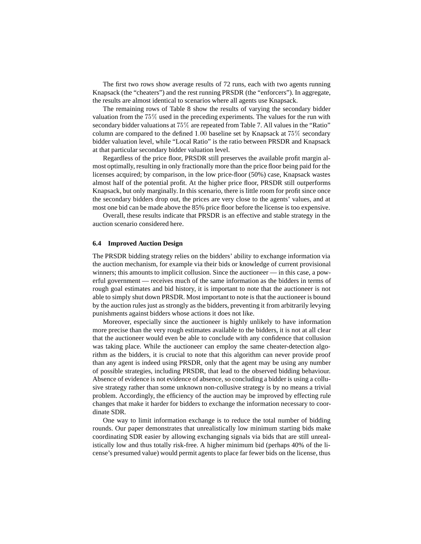The first two rows show average results of 72 runs, each with two agents running Knapsack (the "cheaters") and the rest running PRSDR (the "enforcers"). In aggregate, the results are almost identical to scenarios where all agents use Knapsack.

The remaining rows of Table 8 show the results of varying the secondary bidder valuation from the 75% used in the preceding experiments. The values for the run with secondary bidder valuations at 75% are repeated from Table 7. All values in the "Ratio" column are compared to the defined 1:00 baseline set by Knapsack at 75% secondary bidder valuation level, while "Local Ratio" is the ratio between PRSDR and Knapsack at that particular secondary bidder valuation level.

Regardless of the price floor, PRSDR still preserves the available profit margin almost optimally, resulting in only fractionally more than the price floor being paid for the licenses acquired; by comparison, in the low price-floor (50%) case, Knapsack wastes almost half of the potential profit. At the higher price floor, PRSDR still outperforms Knapsack, but only marginally. In this scenario, there is little room for profit since once the secondary bidders drop out, the prices are very close to the agents' values, and at most one bid can be made above the 85% price floor before the license is too expensive.

Overall, these results indicate that PRSDR is an effective and stable strategy in the auction scenario considered here.

### **6.4 Improved Auction Design**

The PRSDR bidding strategy relies on the bidders' ability to exchange information via the auction mechanism, for example via their bids or knowledge of current provisional winners; this amounts to implicit collusion. Since the auctioneer — in this case, a powerful government — receives much of the same information as the bidders in terms of rough goal estimates and bid history, it is important to note that the auctioneer is not able to simply shut down PRSDR. Most important to note is that the auctioneer is bound by the auction rules just as strongly as the bidders, preventing it from arbitrarily levying punishments against bidders whose actions it does not like.

Moreover, especially since the auctioneer is highly unlikely to have information more precise than the very rough estimates available to the bidders, it is not at all clear that the auctioneer would even be able to conclude with any confidence that collusion was taking place. While the auctioneer can employ the same cheater-detection algorithm as the bidders, it is crucial to note that this algorithm can never provide proof than any agent is indeed using PRSDR, only that the agent may be using any number of possible strategies, including PRSDR, that lead to the observed bidding behaviour. Absence of evidence is not evidence of absence, so concluding a bidder is using a collusive strategy rather than some unknown non-collusive strategy is by no means a trivial problem. Accordingly, the efficiency of the auction may be improved by effecting rule changes that make it harder for bidders to exchange the information necessary to coordinate SDR.

One way to limit information exchange is to reduce the total number of bidding rounds. Our paper demonstrates that unrealistically low minimum starting bids make coordinating SDR easier by allowing exchanging signals via bids that are still unrealistically low and thus totally risk-free. A higher minimum bid (perhaps 40% of the license's presumed value) would permit agents to place far fewer bids on the license, thus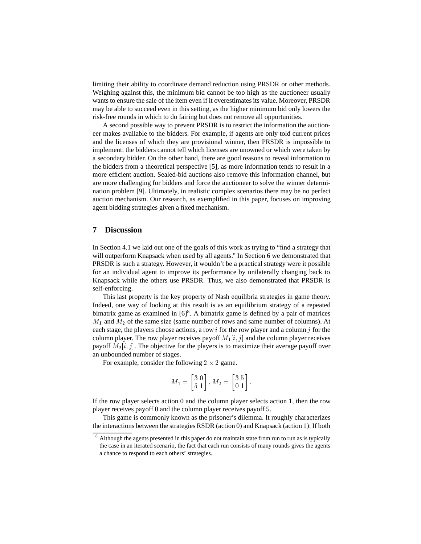limiting their ability to coordinate demand reduction using PRSDR or other methods. Weighing against this, the minimum bid cannot be too high as the auctioneer usually wants to ensure the sale of the item even if it overestimates its value. Moreover, PRSDR may be able to succeed even in this setting, as the higher minimum bid only lowers the risk-free rounds in which to do fairing but does not remove all opportunities.

A second possible way to prevent PRSDR is to restrict the information the auctioneer makes available to the bidders. For example, if agents are only told current prices and the licenses of which they are provisional winner, then PRSDR is impossible to implement: the bidders cannot tell which licenses are unowned or which were taken by a secondary bidder. On the other hand, there are good reasons to reveal information to the bidders from a theoretical perspective [5], as more information tends to result in a more efficient auction. Sealed-bid auctions also remove this information channel, but are more challenging for bidders and force the auctioneer to solve the winner determination problem [9]. Ultimately, in realistic complex scenarios there may be no perfect auction mechanism. Our research, as exemplified in this paper, focuses on improving agent bidding strategies given a fixed mechanism.

# **7 Discussion**

In Section 4.1 we laid out one of the goals of this work as trying to "find a strategy that will outperform Knapsack when used by all agents." In Section 6 we demonstrated that PRSDR is such a strategy. However, it wouldn't be a practical strategy were it possible for an individual agent to improve its performance by unilaterally changing back to Knapsack while the others use PRSDR. Thus, we also demonstrated that PRSDR is self-enforcing.

This last property is the key property of Nash equilibria strategies in game theory. Indeed, one way of looking at this result is as an equilibrium strategy of a repeated bimatrix game as examined in  $[6]^8$ . A bimatrix game is defined by a pair of matrices  $M_1$  and  $M_2$  of the same size (same number of rows and same number of columns). At each stage, the players choose actions, a row i for the row player and a column  $\hat{i}$  for the column player. The row player receives payoff  $M_1[i, j]$  and the column player receives payoff  $M_2[i, j]$ . The objective for the players is to maximize their average payoff over an unbounded number of stages.

For example, consider the following  $2 \times 2$  game.

$$
M_1 = \begin{bmatrix} 3 & 0 \\ 5 & 1 \end{bmatrix}, M_2 = \begin{bmatrix} 3 & 5 \\ 0 & 1 \end{bmatrix}.
$$

If the row player selects action 0 and the column player selects action 1, then the row player receives payoff 0 and the column player receives payoff 5.

This game is commonly known as the prisoner's dilemma. It roughly characterizes the interactions between the strategies RSDR (action 0) and Knapsack (action 1): If both

<sup>&</sup>lt;sup>8</sup> Although the agents presented in this paper do not maintain state from run to run as is typically the case in an iterated scenario, the fact that each run consists of many rounds gives the agents a chance to respond to each others' strategies.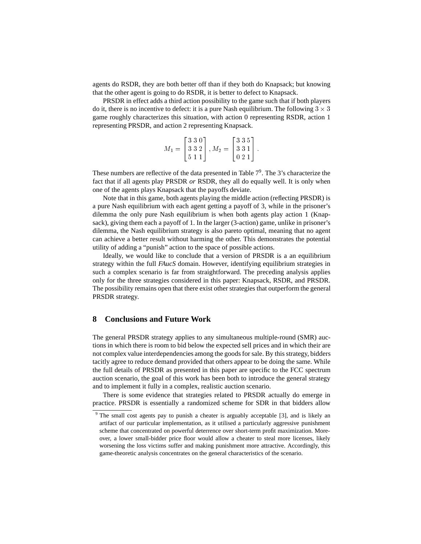agents do RSDR, they are both better off than if they both do Knapsack; but knowing that the other agent is going to do RSDR, it is better to defect to Knapsack.

PRSDR in effect adds a third action possibility to the game such that if both players do it, there is no incentive to defect: it is a pure Nash equilibrium. The following  $3 \times 3$ game roughly characterizes this situation, with action 0 representing RSDR, action 1 representing PRSDR, and action 2 representing Knapsack.

$$
M_1 = \begin{bmatrix} 3 & 3 & 0 \\ 3 & 3 & 2 \\ 5 & 1 & 1 \end{bmatrix}, M_2 = \begin{bmatrix} 3 & 3 & 5 \\ 3 & 3 & 1 \\ 0 & 2 & 1 \end{bmatrix}.
$$

These numbers are reflective of the data presented in Table  $7<sup>9</sup>$ . The 3's characterize the fact that if all agents play PRSDR *or* RSDR, they all do equally well. It is only when one of the agents plays Knapsack that the payoffs deviate.

Note that in this game, both agents playing the middle action (reflecting PRSDR) is a pure Nash equilibrium with each agent getting a payoff of 3, while in the prisoner's dilemma the only pure Nash equilibrium is when both agents play action 1 (Knapsack), giving them each a payoff of 1. In the larger (3-action) game, unlike in prisoner's dilemma, the Nash equilibrium strategy is also pareto optimal, meaning that no agent can achieve a better result without harming the other. This demonstrates the potential utility of adding a "punish" action to the space of possible actions.

Ideally, we would like to conclude that a version of PRSDR is a an equilibrium strategy within the full *FAucS* domain. However, identifying equilibrium strategies in such a complex scenario is far from straightforward. The preceding analysis applies only for the three strategies considered in this paper: Knapsack, RSDR, and PRSDR. The possibility remains open that there exist other strategies that outperform the general PRSDR strategy.

### **8 Conclusions and Future Work**

The general PRSDR strategy applies to any simultaneous multiple-round (SMR) auctions in which there is room to bid below the expected sell prices and in which their are not complex value interdependencies among the goods for sale. By this strategy, bidders tacitly agree to reduce demand provided that others appear to be doing the same. While the full details of PRSDR as presented in this paper are specific to the FCC spectrum auction scenario, the goal of this work has been both to introduce the general strategy and to implement it fully in a complex, realistic auction scenario.

There is some evidence that strategies related to PRSDR actually do emerge in practice. PRSDR is essentially a randomized scheme for SDR in that bidders allow

<sup>&</sup>lt;sup>9</sup> The small cost agents pay to punish a cheater is arguably acceptable [3], and is likely an artifact of our particular implementation, as it utilised a particularly aggressive punishment scheme that concentrated on powerful deterrence over short-term profit maximization. Moreover, a lower small-bidder price floor would allow a cheater to steal more licenses, likely worsening the loss victims suffer and making punishment more attractive. Accordingly, this game-theoretic analysis concentrates on the general characteristics of the scenario.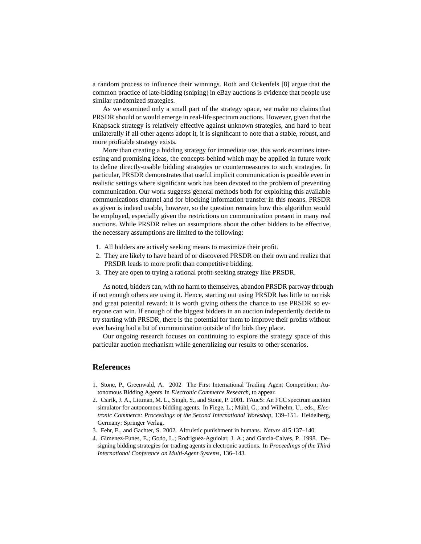a random process to influence their winnings. Roth and Ockenfels [8] argue that the common practice of late-bidding (sniping) in eBay auctions is evidence that people use similar randomized strategies.

As we examined only a small part of the strategy space, we make no claims that PRSDR should or would emerge in real-life spectrum auctions. However, given that the Knapsack strategy is relatively effective against unknown strategies, and hard to beat unilaterally if all other agents adopt it, it is significant to note that a stable, robust, and more profitable strategy exists.

More than creating a bidding strategy for immediate use, this work examines interesting and promising ideas, the concepts behind which may be applied in future work to define directly-usable bidding strategies or countermeasures to such strategies. In particular, PRSDR demonstrates that useful implicit communication is possible even in realistic settings where significant work has been devoted to the problem of preventing communication. Our work suggests general methods both for exploiting this available communications channel and for blocking information transfer in this means. PRSDR as given is indeed usable, however, so the question remains how this algorithm would be employed, especially given the restrictions on communication present in many real auctions. While PRSDR relies on assumptions about the other bidders to be effective, the necessary assumptions are limited to the following:

- 1. All bidders are actively seeking means to maximize their profit.
- 2. They are likely to have heard of or discovered PRSDR on their own and realize that PRSDR leads to more profit than competitive bidding.
- 3. They are open to trying a rational profit-seeking strategy like PRSDR.

As noted, bidders can, with no harm to themselves, abandon PRSDR partway through if not enough others are using it. Hence, starting out using PRSDR has little to no risk and great potential reward: it is worth giving others the chance to use PRSDR so everyone can win. If enough of the biggest bidders in an auction independently decide to try starting with PRSDR, there is the potential for them to improve their profits without ever having had a bit of communication outside of the bids they place.

Our ongoing research focuses on continuing to explore the strategy space of this particular auction mechanism while generalizing our results to other scenarios.

# **References**

- 1. Stone, P., Greenwald, A. 2002 The First International Trading Agent Competition: Autonomous Bidding Agents In *Electronic Commerce Research*, to appear.
- 2. Csirik, J. A., Littman, M. L., Singh, S., and Stone, P. 2001. FAucS: An FCC spectrum auction simulator for autonomous bidding agents. In Fiege, L.; Mühl, G.; and Wilhelm, U., eds., *Electronic Commerce: Proceedings of the Second International Workshop*, 139–151. Heidelberg, Germany: Springer Verlag.
- 3. Fehr, E., and Gachter, S. 2002. Altruistic punishment in humans. *Nature* 415:137–140.
- 4. Gimenez-Funes, E.; Godo, L.; Rodriguez-Aguiolar, J. A.; and Garcia-Calves, P. 1998. Designing bidding strategies for trading agents in electronic auctions. In *Proceedings of the Third International Conference on Multi-Agent Systems*, 136–143.